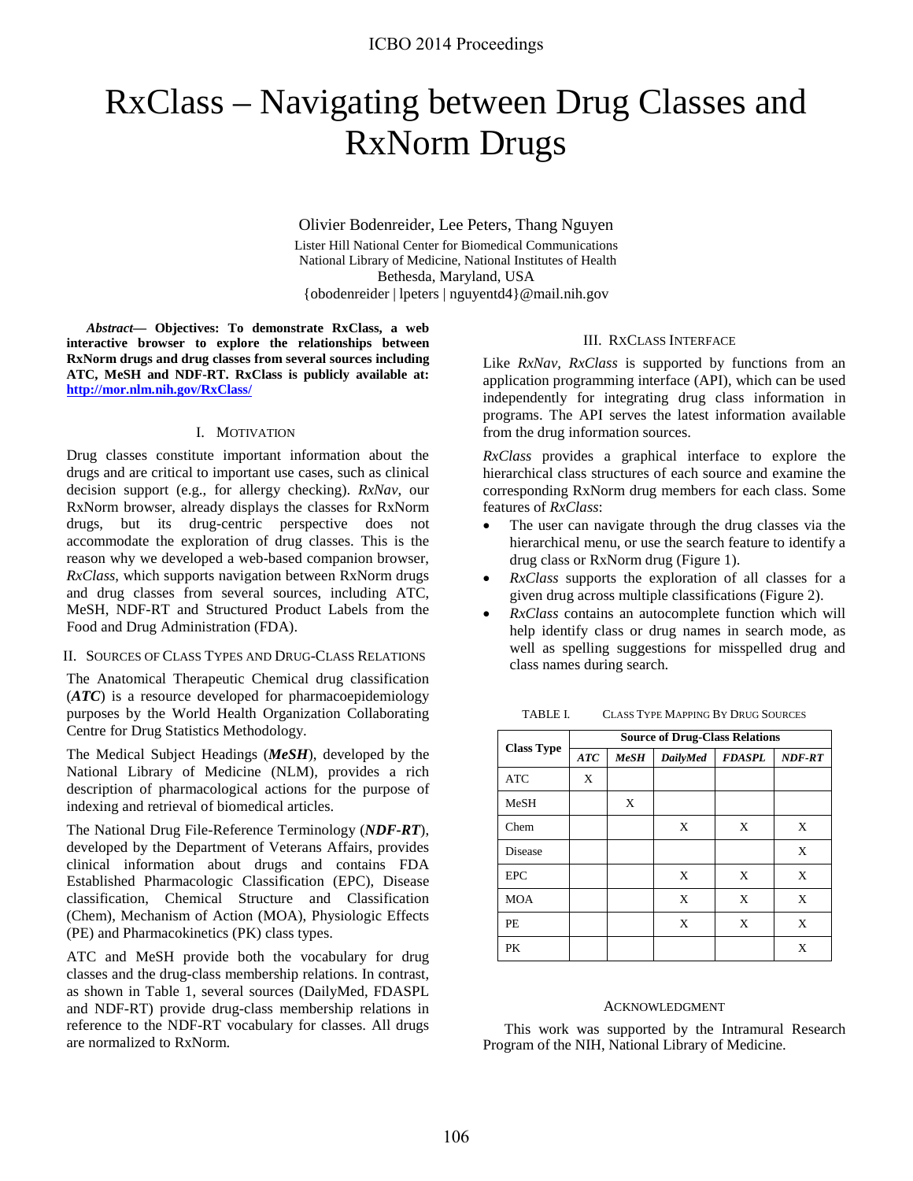# RxClass – Navigating between Drug Classes and RxNorm Drugs

Olivier Bodenreider, Lee Peters, Thang Nguyen Lister Hill National Center for Biomedical Communications National Library of Medicine, National Institutes of Health Bethesda, Maryland, USA {obodenreider | lpeters | nguyentd4}@mail.nih.gov

*Abstract***— Objectives: To demonstrate RxClass, a web interactive browser to explore the relationships between RxNorm drugs and drug classes from several sources including ATC, MeSH and NDF-RT. RxClass is publicly available at: <http://mor.nlm.nih.gov/RxClass/>**

### I. MOTIVATION

Drug classes constitute important information about the drugs and are critical to important use cases, such as clinical decision support (e.g., for allergy checking). *RxNav*, our RxNorm browser, already displays the classes for RxNorm drugs, but its drug-centric perspective does not accommodate the exploration of drug classes. This is the reason why we developed a web-based companion browser, *RxClass*, which supports navigation between RxNorm drugs and drug classes from several sources, including ATC, MeSH, NDF-RT and Structured Product Labels from the Food and Drug Administration (FDA).

### II. SOURCES OF CLASS TYPES AND DRUG-CLASS RELATIONS

The Anatomical Therapeutic Chemical drug classification (*ATC*) is a resource developed for pharmacoepidemiology purposes by the World Health Organization Collaborating Centre for Drug Statistics Methodology.

The Medical Subject Headings (*MeSH*), developed by the National Library of Medicine (NLM), provides a rich description of pharmacological actions for the purpose of indexing and retrieval of biomedical articles.

The National Drug File-Reference Terminology (*NDF-RT*), developed by the Department of Veterans Affairs, provides clinical information about drugs and contains FDA Established Pharmacologic Classification (EPC), Disease classification, Chemical Structure and Classification (Chem), Mechanism of Action (MOA), Physiologic Effects (PE) and Pharmacokinetics (PK) class types.

ATC and MeSH provide both the vocabulary for drug classes and the drug-class membership relations. In contrast, as shown in Table 1, several sources (DailyMed, FDASPL and NDF-RT) provide drug-class membership relations in reference to the NDF-RT vocabulary for classes. All drugs are normalized to RxNorm.

### III. RXCLASS INTERFACE

Like *RxNav*, *RxClass* is supported by functions from an application programming interface (API), which can be used independently for integrating drug class information in programs. The API serves the latest information available from the drug information sources.

*RxClass* provides a graphical interface to explore the hierarchical class structures of each source and examine the corresponding RxNorm drug members for each class. Some features of *RxClass*:

- The user can navigate through the drug classes via the hierarchical menu, or use the search feature to identify a drug class or RxNorm drug (Figure 1).
- *RxClass* supports the exploration of all classes for a given drug across multiple classifications (Figure 2).
- *RxClass* contains an autocomplete function which will help identify class or drug names in search mode, as well as spelling suggestions for misspelled drug and class names during search.

TABLE I. CLASS TYPE MAPPING BY DRUG SOURCES

|                   | <b>Source of Drug-Class Relations</b> |      |          |               |        |  |  |  |  |
|-------------------|---------------------------------------|------|----------|---------------|--------|--|--|--|--|
| <b>Class Type</b> | ATC                                   | MeSH | DailyMed | <b>FDASPL</b> | NDF-RT |  |  |  |  |
| <b>ATC</b>        | X                                     |      |          |               |        |  |  |  |  |
| MeSH              |                                       | X    |          |               |        |  |  |  |  |
| Chem              |                                       |      | X        | X             | X      |  |  |  |  |
| Disease           |                                       |      |          |               | X      |  |  |  |  |
| <b>EPC</b>        |                                       |      | X        | X             | X      |  |  |  |  |
| <b>MOA</b>        |                                       |      | X        | X             | X      |  |  |  |  |
| PЕ                |                                       |      | X        | X             | X      |  |  |  |  |
| PK                |                                       |      |          |               | X      |  |  |  |  |

#### ACKNOWLEDGMENT

This work was supported by the Intramural Research Program of the NIH, National Library of Medicine.